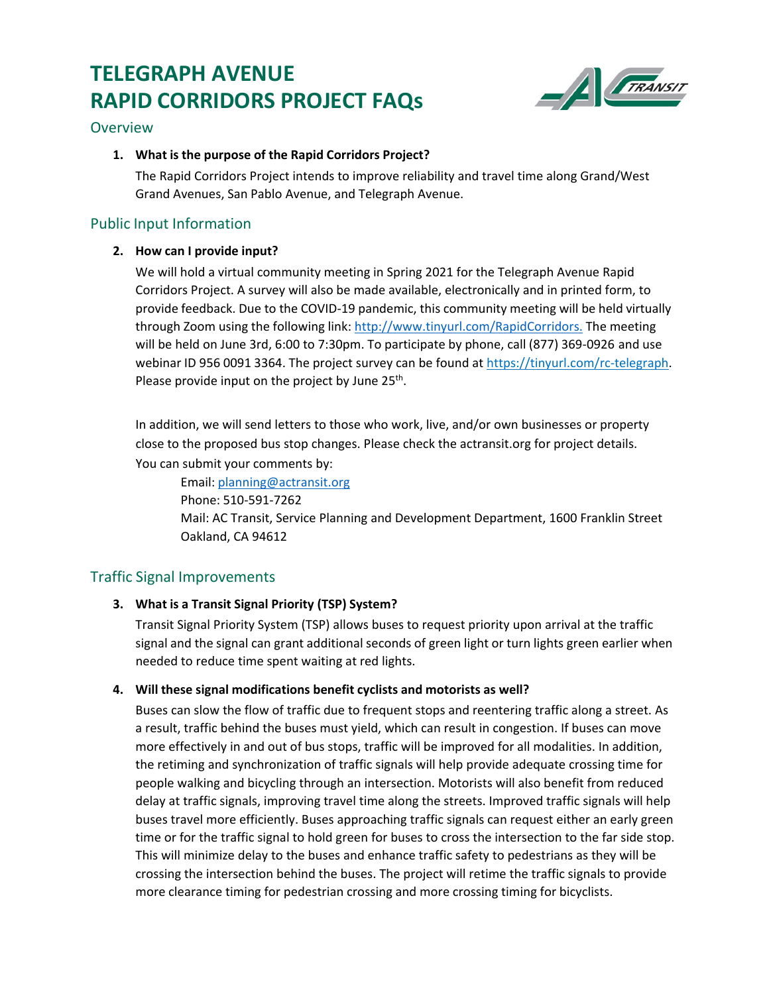# **TELEGRAPH AVENUE RAPID CORRIDORS PROJECT FAQs**



# Overview

# **1. What is the purpose of the Rapid Corridors Project?**

The Rapid Corridors Project intends to improve reliability and travel time along Grand/West Grand Avenues, San Pablo Avenue, and Telegraph Avenue.

# Public Input Information

## **2. How can I provide input?**

We will hold a virtual community meeting in Spring 2021 for the Telegraph Avenue Rapid Corridors Project. A survey will also be made available, electronically and in printed form, to provide feedback. Due to the COVID-19 pandemic, this community meeting will be held virtually through Zoom using the following link: [http://www.tinyurl.com/RapidCorridors.](http://www.tinyurl.com/RapidCorridors) The meeting will be held on June 3rd, 6:00 to 7:30pm. To participate by phone, call (877) 369-0926 and use webinar ID 956 0091 3364. The project survey can be found a[t https://tinyurl.com/rc-telegraph.](https://tinyurl.com/rc-telegraph) Please provide input on the project by June  $25<sup>th</sup>$ .

In addition, we will send letters to those who work, live, and/or own businesses or property close to the proposed bus stop changes. Please check the actransit.org for project details. You can submit your comments by:

Email: [planning@actransit.org](mailto:planning@actransit.org) Phone: 510-591-7262 Mail: AC Transit, Service Planning and Development Department, 1600 Franklin Street Oakland, CA 94612

# Traffic Signal Improvements

## **3. What is a Transit Signal Priority (TSP) System?**

Transit Signal Priority System (TSP) allows buses to request priority upon arrival at the traffic signal and the signal can grant additional seconds of green light or turn lights green earlier when needed to reduce time spent waiting at red lights.

## **4. Will these signal modifications benefit cyclists and motorists as well?**

Buses can slow the flow of traffic due to frequent stops and reentering traffic along a street. As a result, traffic behind the buses must yield, which can result in congestion. If buses can move more effectively in and out of bus stops, traffic will be improved for all modalities. In addition, the retiming and synchronization of traffic signals will help provide adequate crossing time for people walking and bicycling through an intersection. Motorists will also benefit from reduced delay at traffic signals, improving travel time along the streets. Improved traffic signals will help buses travel more efficiently. Buses approaching traffic signals can request either an early green time or for the traffic signal to hold green for buses to cross the intersection to the far side stop. This will minimize delay to the buses and enhance traffic safety to pedestrians as they will be crossing the intersection behind the buses. The project will retime the traffic signals to provide more clearance timing for pedestrian crossing and more crossing timing for bicyclists.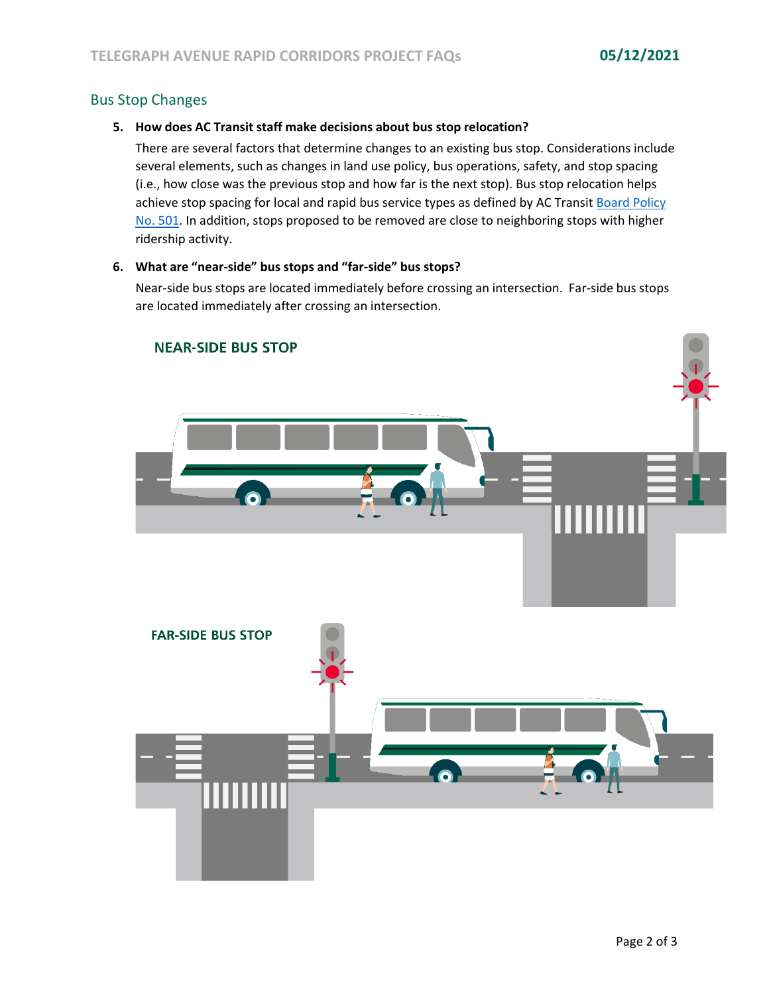# Bus Stop Changes

#### **5. How does AC Transit staff make decisions about bus stop relocation?**

There are several factors that determine changes to an existing bus stop. Considerations include several elements, such as changes in land use policy, bus operations, safety, and stop spacing (i.e., how close was the previous stop and how far is the next stop). Bus stop relocation helps achieve stop spacing for local and rapid bus service types as defined by AC Transit [Board Policy](http://www.actransit.org/wp-content/uploads/board_policies/BP%20501%20-%20Bus%20Stops.pdf) [No. 501. I](http://www.actransit.org/wp-content/uploads/board_policies/BP%20501%20-%20Bus%20Stops.pdf)n addition, stops proposed to be removed are close to neighboring stops with higher ridership activity.

#### **6. What are "near-side" bus stops and "far-side" bus stops?**

Near-side bus stops are located immediately before crossing an intersection. Far-side bus stops are located immediately after crossing an intersection.